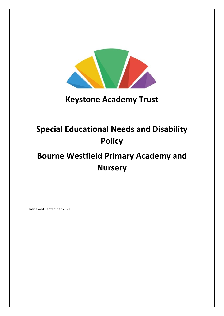

# **Keystone Academy Trust**

# **Special Educational Needs and Disability Policy**

# **Bourne Westfield Primary Academy and Nursery**

| Reviewed September 2021 |  |
|-------------------------|--|
|                         |  |
|                         |  |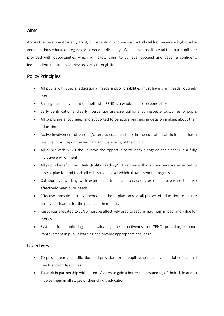## Aims

Across the Keystone Academy Trust, our intention is to ensure that all children receive a high-quality and ambitious education regardless of need or disability. We believe that it is vital that our pupils are provided with opportunities which will allow them to achieve, succeed and become confident, independent individuals as they progress through life.

## Policy Principles

- All pupils with special educational needs and/or disabilities must have their needs routinely met
- Raising the achievement of pupils with SEND is a whole school responsibility
- Early identification and early intervention are essential for ensuring better outcomes for pupils
- All pupils are encouraged and supported to be active partners in decision making about their education
- Active involvement of parents/carers as equal partners in the education of their child, has a positive impact upon the learning and well-being of their child
- All pupils with SEND should have the opportunity to learn alongside their peers in a fully inclusive environment
- All pupils benefit from 'High Quality Teaching'. This means that all teachers are expected to assess, plan for and teach all children at a level which allows them to progress
- Collaborative working with external partners and services is essential to ensure that we effectively meet pupil needs
- Effective transition arrangements must be in place across all phases of education to ensure positive outcomes for the pupil and their family
- Resources allocated to SEND must be effectively used to secure maximum impact and value for money
- Systems for monitoring and evaluating the effectiveness of SEND provision, support improvement in pupil's learning and provide appropriate challenge

# **Objectives**

- To provide early identification and provision for all pupils who may have special educational needs and/or disabilities
- To work in partnership with parents/carers to gain a better understanding of their child and to involve them in all stages of their child's education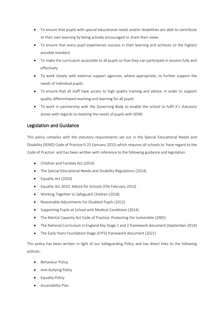- To ensure that pupils with special educational needs and/or disabilities are able to contribute to their own learning by being actively encouraged to share their views
- To ensure that every pupil experiences success in their learning and achieves to the highest possible standard
- To make the curriculum accessible to all pupils so that they can participate in lessons fully and effectively
- To work closely with external support agencies, where appropriate, to further support the needs of individual pupils
- To ensure that all staff have access to high quality training and advice, in order to support quality differentiated teaching and learning for all pupils
- To work in partnership with the Governing Body to enable the school to fulfil it's statutory duties with regards to meeting the needs of pupils with SEND

# Legislation and Guidance

This policy complies with the statutory requirements set out in the Special Educational Needs and Disability (SEND) Code of Practice 0-25 (January 2015) which requires all schools to 'have regard to the Code of Practice' and has been written with reference to the following guidance and legislation:

- Children and Families Act (2014)
- The Special Educational Needs and Disability Regulations (2014)
- Equality Act (2010)
- Equality Act 2010: Advice for Schools (Dfe February 2013)
- Working Together to Safeguard Children (2018)
- Reasonable Adjustments for Disabled Pupils (2012)
- Supporting Pupils at School with Medical Conditions (2014)
- The Mental Capacity Act Code of Practice: Protecting the Vulnerable (2005)
- The National Curriculum in England Key Stage 1 and 2 framework document (September 2014)
- The Early Years Foundation Stage (EYFS) framework document (2021)

This policy has been written in light of our Safeguarding Policy and has direct links to the following policies:

- Behaviour Policy
- Anti-bullying Policy
- **•** Equality Policy
- **•** Accessibility Plan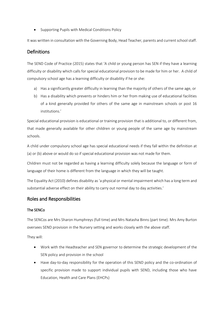• Supporting Pupils with Medical Conditions Policy

It was written in consultation with the Governing Body, Head Teacher, parents and current school staff.

## **Definitions**

The SEND Code of Practice (2015) states that 'A child or young person has SEN if they have a learning difficulty or disability which calls for special educational provision to be made for him or her. A child of compulsory school age has a learning difficulty or disability if he or she:

- a) Has a significantly greater difficulty in learning than the majority of others of the same age, or
- b) Has a disability which prevents or hinders him or her from making use of educational facilities of a kind generally provided for others of the same age in mainstream schools or post 16 institutions.'

Special educational provision is educational or training provision that is additional to, or different from, that made generally available for other children or young people of the same age by mainstream schools.

A child under compulsory school age has special educational needs if they fall within the definition at (a) or (b) above or would do so if special educational provision was not made for them.

Children must not be regarded as having a learning difficulty solely because the language or form of language of their home is different from the language in which they will be taught.

The Equality Act (2010) defines disability as 'a physical or mental impairment which has a long term and substantial adverse effect on their ability to carry out normal day to day activities.'

## Roles and Responsibilities

## The SENCo

The SENCos are Mrs Sharon Humphreys (full time) and Mrs Natasha Binns (part time). Mrs Amy Burton oversees SEND provision in the Nursery setting and works closely with the above staff.

They will:

- Work with the Headteacher and SEN governor to determine the strategic development of the SEN policy and provision in the school
- Have day-to-day responsibility for the operation of this SEND policy and the co-ordination of specific provision made to support individual pupils with SEND, including those who have Education, Health and Care Plans (EHCPs)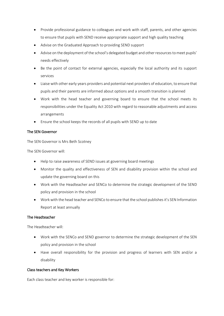- Provide professional guidance to colleagues and work with staff, parents, and other agencies to ensure that pupils with SEND receive appropriate support and high quality teaching
- Advise on the Graduated Approach to providing SEND support
- Advise on the deployment of the school's delegated budget and other resources to meet pupils' needs effectively
- Be the point of contact for external agencies, especially the local authority and its support services
- Liaise with other early years providers and potential next providers of education, to ensure that pupils and their parents are informed about options and a smooth transition is planned
- Work with the head teacher and governing board to ensure that the school meets its responsibilities under the Equality Act 2010 with regard to reasonable adjustments and access arrangements
- Ensure the school keeps the records of all pupils with SEND up to date

## The SEN Governor

The SEN Governor is Mrs Beth Scotney

The SEN Governor will:

- Help to raise awareness of SEND issues at governing board meetings
- Monitor the quality and effectiveness of SEN and disability provision within the school and update the governing board on this
- Work with the Headteacher and SENCo to determine the strategic development of the SEND policy and provision in the school
- Work with the head teacher and SENCo to ensure that the school publishes it's SEN Information Report at least annually

## The Headteacher

The Headteacher will:

- Work with the SENCo and SEND governor to determine the strategic development of the SEN policy and provision in the school
- Have overall responsibility for the provision and progress of learners with SEN and/or a disability

## Class teachers and Key Workers

Each class teacher and key worker is responsible for: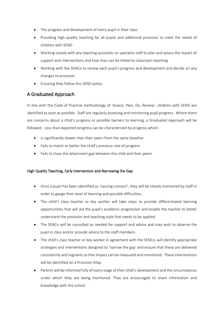- The progress and development of every pupil in their class
- Providing high quality teaching for all pupils and additional provision to meet the needs of children with SEND
- Working closely with any teaching assistants or specialist staff to plan and assess the impact of support and interventions and how they can be linked to classroom teaching
- Working with the SENCo to review each pupil's progress and development and decide on any changes to provision
- Ensuring they follow this SEND policy

# A Graduated Approach

In line with the Code of Practice methodology of 'Assess, Plan, Do, Review', children with SEND are identified as soon as possible. Staff are regularly assessing and monitoring pupil progress. Where there are concerns about a child's progress or possible barriers to learning, a Graduated Approach will be followed. Less than expected progress can be characterized by progress which:

- Is significantly slower than their peers from the same baseline
- Fails to match or better the child's previous rate of progress
- Fails to close the attainment gap between the child and their peers

## High Quality Teaching, Early Intervention and Narrowing the Gap

- Once a pupil has been identified as 'causing concern', they will be closely monitored by staff in order to gauge their level of learning and possible difficulties.
- The child's class teacher or key worker will take steps to provide differentiated learning opportunities that will aid the pupil's academic progression and enable the teacher to better understand the provision and teaching style that needs to be applied.
- The SENCo will be consulted as needed for support and advice and may wish to observe the pupil in class and/or provide advice to the staff members.
- The child's class teacher or key worker in agreement with the SENCo, will identify appropriate strategies and interventions designed to 'narrow the gap' and ensure that these are delivered consistently and regularly so that impact can be measured and monitored. These interventions will be identified on a Provision Map.
- Parents will be informed fully of every stage of their child's development and the circumstances under which they are being monitored. They are encouraged to share information and knowledge with the school.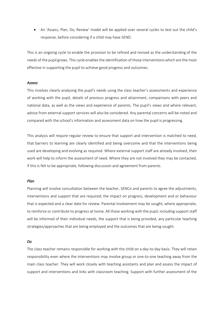An 'Assess, Plan, Do, Review' model will be applied over several cycles to test out the child's response, before considering if a child may have SEND.

This is an ongoing cycle to enable the provision to be refined and revised as the understanding of the needs of the pupil grows. This cycle enables the identification of those interventions which are the most effective in supporting the pupil to achieve good progress and outcomes.

### *Assess*

This involves clearly analysing the pupil's needs using the class teacher's assessments and experience of working with the pupil, details of previous progress and attainment, comparisons with peers and national data, as well as the views and experience of parents. The pupil's views and where relevant, advice from external support services will also be considered. Any parental concerns will be noted and compared with the school's information and assessment data on how the pupil is progressing.

This analysis will require regular review to ensure that support and intervention is matched to need, that barriers to learning are clearly identified and being overcome and that the interventions being used are developing and evolving as required. Where external support staff are already involved, their work will help to inform the assessment of need. Where they are not involved they may be contacted, if this is felt to be appropriate, following discussion and agreement from parents.

#### *Plan*

Planning will involve consultation between the teacher, SENCo and parents to agree the adjustments, interventions and support that are required; the impact on progress, development and or behaviour that is expected and a clear date for review. Parental involvement may be sought, where appropriate, to reinforce or contribute to progress at home. All those working with the pupil, including support staff will be informed of their individual needs, the support that is being provided, any particular teaching strategies/approaches that are being employed and the outcomes that are being sought.

#### *Do*

The class teacher remains responsible for working with the child on a day-to-day basis. They will retain responsibility even where the interventions may involve group or one-to-one teaching away from the main class teacher. They will work closely with teaching assistants and plan and assess the impact of support and interventions and links with classroom teaching. Support with further assessment of the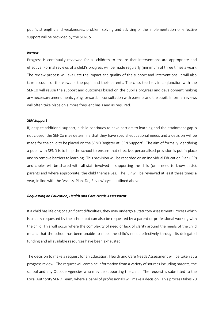pupil's strengths and weaknesses, problem solving and advising of the implementation of effective support will be provided by the SENCo.

#### *Review*

Progress is continually reviewed for all children to ensure that interventions are appropriate and effective. Formal reviews of a child's progress will be made regularly (minimum of three times a year). The review process will evaluate the impact and quality of the support and interventions. It will also take account of the views of the pupil and their parents. The class teacher, in conjunction with the SENCo will revise the support and outcomes based on the pupil's progress and development making any necessary amendments going forward, in consultation with parents and the pupil. Informal reviews will often take place on a more frequent basis and as required.

#### *SEN Support*

If, despite additional support, a child continues to have barriers to learning and the attainment gap is not closed, the SENCo may determine that they have special educational needs and a decision will be made for the child to be placed on the SEND Register at 'SEN Support'. The aim of formally identifying a pupil with SEND is to help the school to ensure that effective, personalised provision is put in place and so remove barriers to learning. This provision will be recorded on an Individual Education Plan (IEP) and copies will be shared with all staff involved in supporting the child (on a need to know basis), parents and where appropriate, the child themselves. The IEP will be reviewed at least three times a year, in line with the 'Assess, Plan, Do, Review' cycle outlined above.

### *Requesting an Education, Health and Care Needs Assessment*

If a child has lifelong or significant difficulties, they may undergo a Statutory Assessment Process which is usually requested by the school but can also be requested by a parent or professional working with the child. This will occur where the complexity of need or lack of clarity around the needs of the child means that the school has been unable to meet the child's needs effectively through its delegated funding and all available resources have been exhausted.

The decision to make a request for an Education, Health and Care Needs Assessment will be taken at a progress review. The request will combine information from a variety of sources including parents, the school and any Outside Agencies who may be supporting the child. The request is submitted to the Local Authority SEND Team, where a panel of professionals will make a decision. This process takes 20